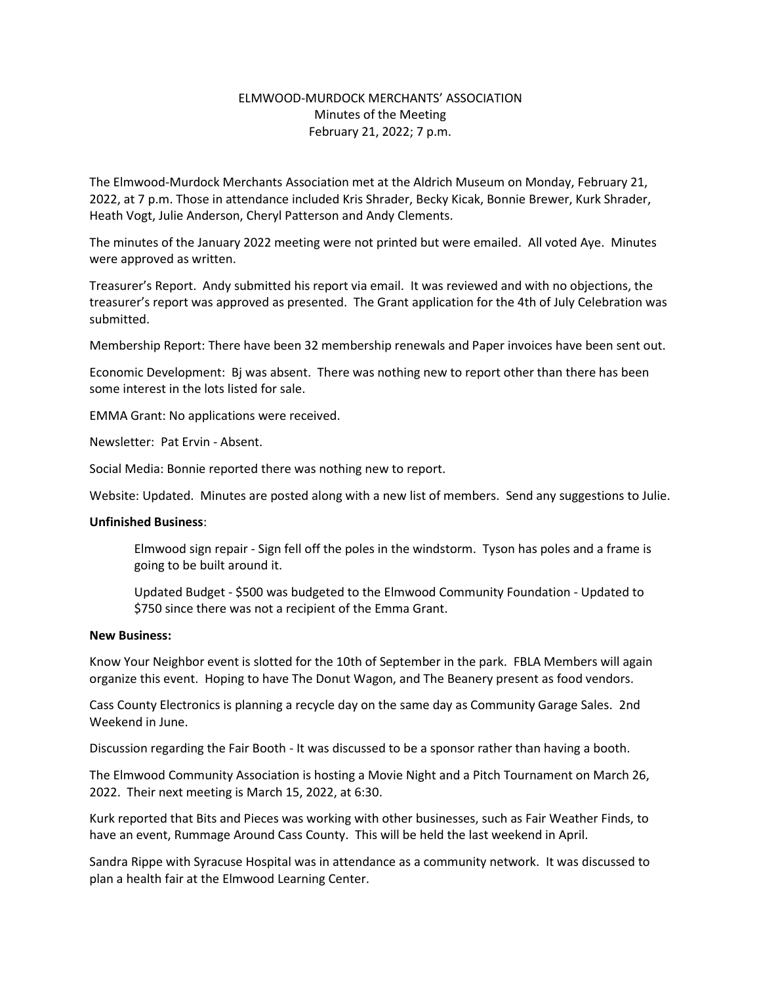## ELMWOOD-MURDOCK MERCHANTS' ASSOCIATION Minutes of the Meeting February 21, 2022; 7 p.m.

The Elmwood-Murdock Merchants Association met at the Aldrich Museum on Monday, February 21, 2022, at 7 p.m. Those in attendance included Kris Shrader, Becky Kicak, Bonnie Brewer, Kurk Shrader, Heath Vogt, Julie Anderson, Cheryl Patterson and Andy Clements.

The minutes of the January 2022 meeting were not printed but were emailed. All voted Aye. Minutes were approved as written.

Treasurer's Report. Andy submitted his report via email. It was reviewed and with no objections, the treasurer's report was approved as presented. The Grant application for the 4th of July Celebration was submitted.

Membership Report: There have been 32 membership renewals and Paper invoices have been sent out.

Economic Development: Bj was absent. There was nothing new to report other than there has been some interest in the lots listed for sale.

EMMA Grant: No applications were received.

Newsletter: Pat Ervin - Absent.

Social Media: Bonnie reported there was nothing new to report.

Website: Updated. Minutes are posted along with a new list of members. Send any suggestions to Julie.

## **Unfinished Business**:

Elmwood sign repair - Sign fell off the poles in the windstorm. Tyson has poles and a frame is going to be built around it.

Updated Budget - \$500 was budgeted to the Elmwood Community Foundation - Updated to \$750 since there was not a recipient of the Emma Grant.

## **New Business:**

Know Your Neighbor event is slotted for the 10th of September in the park. FBLA Members will again organize this event. Hoping to have The Donut Wagon, and The Beanery present as food vendors.

Cass County Electronics is planning a recycle day on the same day as Community Garage Sales. 2nd Weekend in June.

Discussion regarding the Fair Booth - It was discussed to be a sponsor rather than having a booth.

The Elmwood Community Association is hosting a Movie Night and a Pitch Tournament on March 26, 2022. Their next meeting is March 15, 2022, at 6:30.

Kurk reported that Bits and Pieces was working with other businesses, such as Fair Weather Finds, to have an event, Rummage Around Cass County. This will be held the last weekend in April.

Sandra Rippe with Syracuse Hospital was in attendance as a community network. It was discussed to plan a health fair at the Elmwood Learning Center.